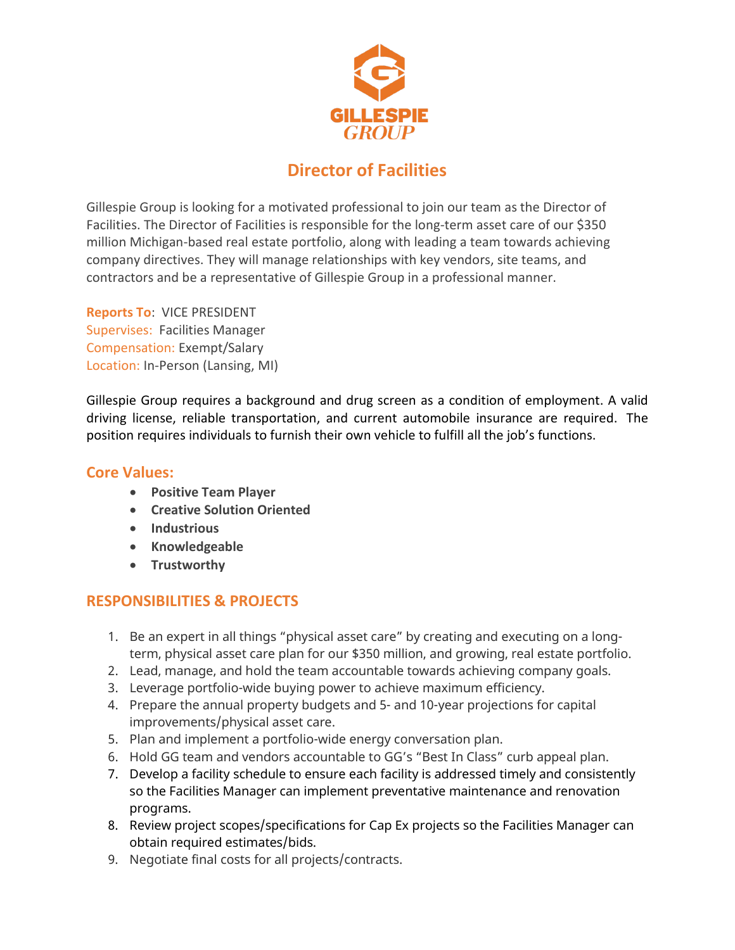

# **Director of Facilities**

Gillespie Group is looking for a motivated professional to join our team as the Director of Facilities. The Director of Facilities is responsible for the long-term asset care of our \$350 million Michigan-based real estate portfolio, along with leading a team towards achieving company directives. They will manage relationships with key vendors, site teams, and contractors and be a representative of Gillespie Group in a professional manner.

**Reports To**: VICE PRESIDENT Supervises: Facilities Manager Compensation: Exempt/Salary Location: In-Person (Lansing, MI)

Gillespie Group requires a background and drug screen as a condition of employment. A valid driving license, reliable transportation, and current automobile insurance are required. The position requires individuals to furnish their own vehicle to fulfill all the job's functions.

#### **Core Values:**

- **Positive Team Player**
- **Creative Solution Oriented**
- **Industrious**
- **Knowledgeable**
- **Trustworthy**

## **RESPONSIBILITIES & PROJECTS**

- 1. Be an expert in all things "physical asset care" by creating and executing on a longterm, physical asset care plan for our \$350 million, and growing, real estate portfolio.
- 2. Lead, manage, and hold the team accountable towards achieving company goals.
- 3. Leverage portfolio-wide buying power to achieve maximum efficiency.
- 4. Prepare the annual property budgets and 5- and 10-year projections for capital improvements/physical asset care.
- 5. Plan and implement a portfolio-wide energy conversation plan.
- 6. Hold GG team and vendors accountable to GG's "Best In Class" curb appeal plan.
- 7. Develop a facility schedule to ensure each facility is addressed timely and consistently so the Facilities Manager can implement preventative maintenance and renovation programs.
- 8. Review project scopes/specifications for Cap Ex projects so the Facilities Manager can obtain required estimates/bids.
- 9. Negotiate final costs for all projects/contracts.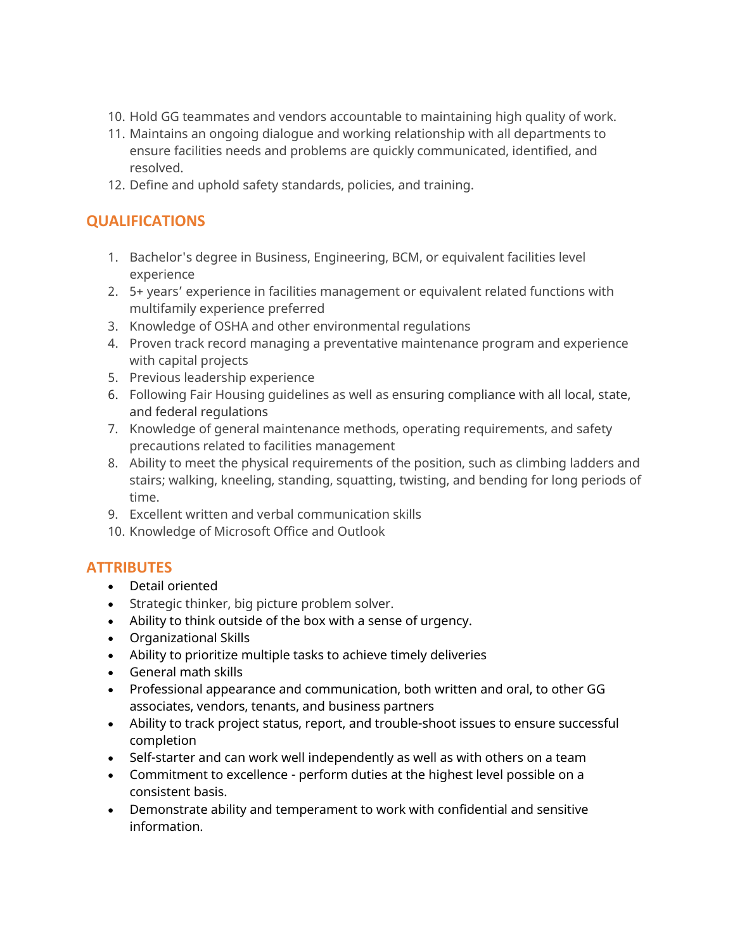- 10. Hold GG teammates and vendors accountable to maintaining high quality of work.
- 11. Maintains an ongoing dialogue and working relationship with all departments to ensure facilities needs and problems are quickly communicated, identified, and resolved.
- 12. Define and uphold safety standards, policies, and training.

### **QUALIFICATIONS**

- 1. Bachelor's degree in Business, Engineering, BCM, or equivalent facilities level experience
- 2. 5+ years' experience in facilities management or equivalent related functions with multifamily experience preferred
- 3. Knowledge of OSHA and other environmental regulations
- 4. Proven track record managing a preventative maintenance program and experience with capital projects
- 5. Previous leadership experience
- 6. Following Fair Housing guidelines as well as ensuring compliance with all local, state, and federal regulations
- 7. Knowledge of general maintenance methods, operating requirements, and safety precautions related to facilities management
- 8. Ability to meet the physical requirements of the position, such as climbing ladders and stairs; walking, kneeling, standing, squatting, twisting, and bending for long periods of time.
- 9. Excellent written and verbal communication skills
- 10. Knowledge of Microsoft Office and Outlook

### **ATTRIBUTES**

- Detail oriented
- Strategic thinker, big picture problem solver.
- Ability to think outside of the box with a sense of urgency.
- Organizational Skills
- Ability to prioritize multiple tasks to achieve timely deliveries
- General math skills
- Professional appearance and communication, both written and oral, to other GG associates, vendors, tenants, and business partners
- Ability to track project status, report, and trouble-shoot issues to ensure successful completion
- Self-starter and can work well independently as well as with others on a team
- Commitment to excellence perform duties at the highest level possible on a consistent basis.
- Demonstrate ability and temperament to work with confidential and sensitive information.